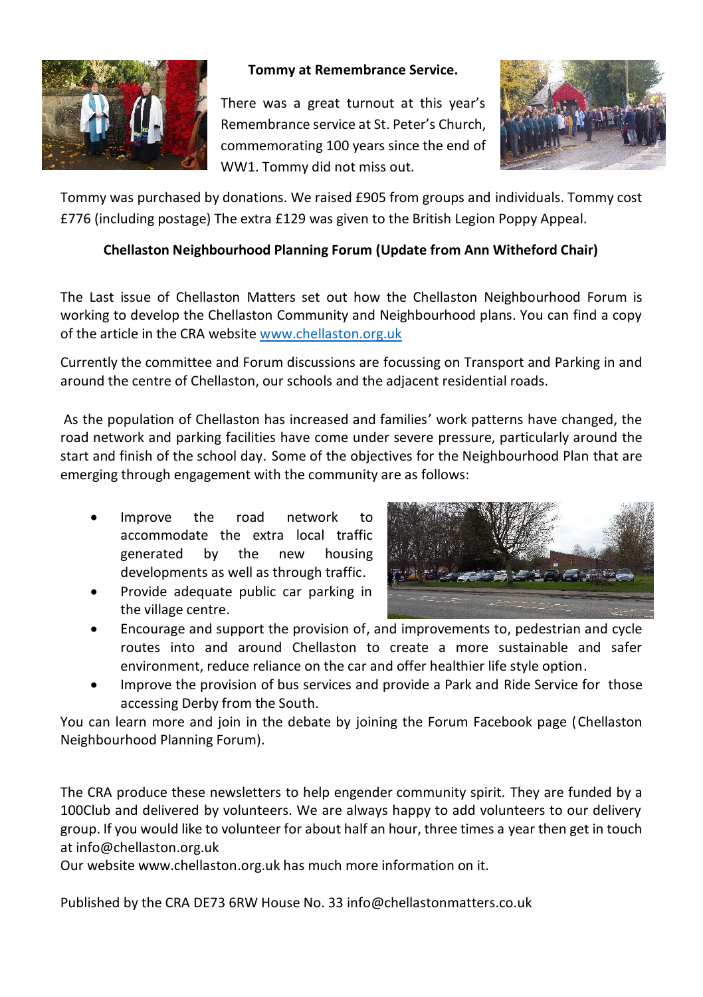

## **Tommy at Remembrance Service.**

There was a great turnout at this year's Remembrance service at St. Peter's Church, commemorating 100 years since the end of WW1. Tommy did not miss out.



Tommy was purchased by donations. We raised £905 from groups and individuals. Tommy cost £776 (including postage) The extra £129 was given to the British Legion Poppy Appeal.

## **Chellaston Neighbourhood Planning Forum (Update from Ann Witheford Chair)**

The Last issue of Chellaston Matters set out how the Chellaston Neighbourhood Forum is working to develop the Chellaston Community and Neighbourhood plans. You can find a copy of the article in the CRA websit[e www.chellaston.org.uk](http://www.chellaston.org.uk/)

Currently the committee and Forum discussions are focussing on Transport and Parking in and around the centre of Chellaston, our schools and the adjacent residential roads.

As the population of Chellaston has increased and families' work patterns have changed, the road network and parking facilities have come under severe pressure, particularly around the start and finish of the school day. Some of the objectives for the Neighbourhood Plan that are emerging through engagement with the community are as follows:

- Improve the road network to accommodate the extra local traffic generated by the new housing developments as well as through traffic.
- Provide adequate public car parking in the village centre.



- Encourage and support the provision of, and improvements to, pedestrian and cycle routes into and around Chellaston to create a more sustainable and safer environment, reduce reliance on the car and offer healthier life style option.
- Improve the provision of bus services and provide a Park and Ride Service for those accessing Derby from the South.

You can learn more and join in the debate by joining the Forum Facebook page (Chellaston Neighbourhood Planning Forum).

The CRA produce these newsletters to help engender community spirit. They are funded by a 100Club and delivered by volunteers. We are always happy to add volunteers to our delivery group. If you would like to volunteer for about half an hour, three times a year then get in touch at info@chellaston.org.uk

Our website www.chellaston.org.uk has much more information on it.

Published by the CRA DE73 6RW House No. 33 info@chellastonmatters.co.uk